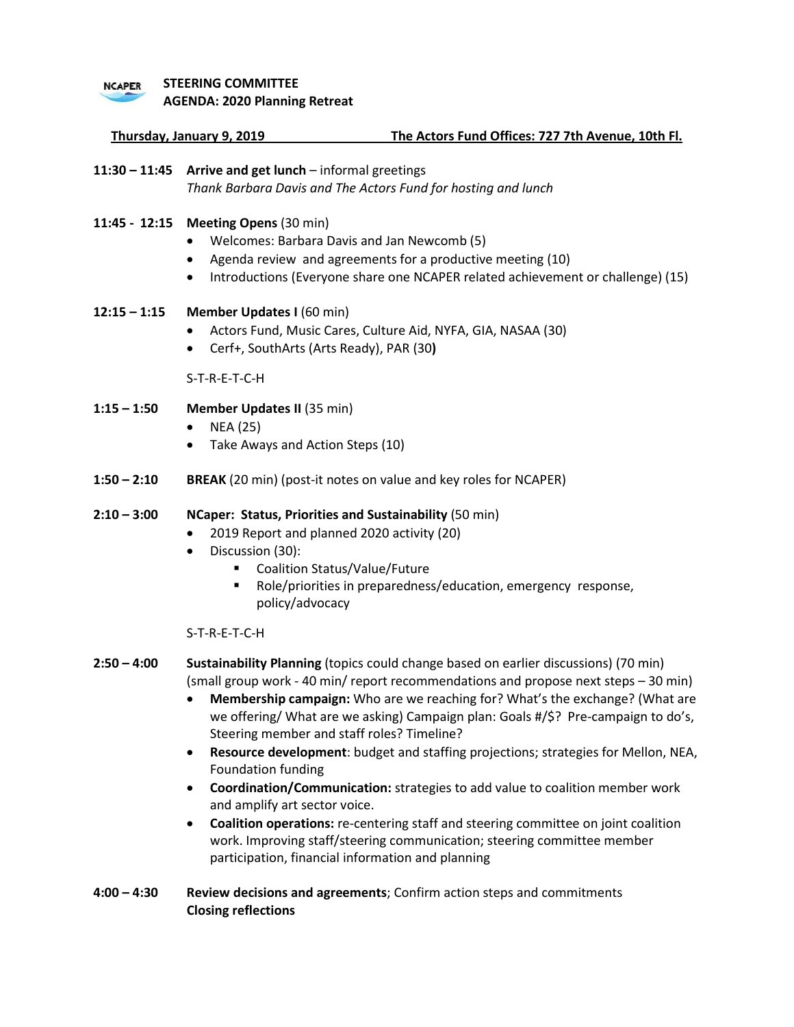### **STEERING COMMITTEE**

**NCAPER** 

**AGENDA: 2020 Planning Retreat**

**Thursday, January 9, 2019 The Actors Fund Offices: 727 7th Avenue, 10th Fl.**

**11:30 – 11:45 Arrive and get lunch** – informal greetings *Thank Barbara Davis and The Actors Fund for hosting and lunch*

## **11:45 - 12:15 Meeting Opens** (30 min)

- Welcomes: Barbara Davis and Jan Newcomb (5)
- Agenda review and agreements for a productive meeting (10)
- Introductions (Everyone share one NCAPER related achievement or challenge) (15)

# **12:15 – 1:15 Member Updates I** (60 min)

- Actors Fund, Music Cares, Culture Aid, NYFA, GIA, NASAA (30)
- Cerf+, SouthArts (Arts Ready), PAR (30**)**

S-T-R-E-T-C-H

- **1:15 – 1:50 Member Updates II** (35 min)
	- NEA (25)
	- Take Aways and Action Steps (10)
- **1:50 – 2:10 BREAK** (20 min) (post-it notes on value and key roles for NCAPER)

### **2:10 – 3:00 NCaper: Status, Priorities and Sustainability** (50 min)

- 2019 Report and planned 2020 activity (20)
	- Discussion (30):
		- Coalition Status/Value/Future
		- Role/priorities in preparedness/education, emergency response, policy/advocacy

### S-T-R-E-T-C-H

- **2:50 – 4:00 Sustainability Planning** (topics could change based on earlier discussions) (70 min) (small group work - 40 min/ report recommendations and propose next steps – 30 min)
	- **Membership campaign:** Who are we reaching for? What's the exchange? (What are we offering/ What are we asking) Campaign plan: Goals #/\$? Pre-campaign to do's, Steering member and staff roles? Timeline?
	- **Resource development**: budget and staffing projections; strategies for Mellon, NEA, Foundation funding
	- **Coordination/Communication:** strategies to add value to coalition member work and amplify art sector voice.
	- **Coalition operations:** re-centering staff and steering committee on joint coalition work. Improving staff/steering communication; steering committee member participation, financial information and planning
- **4:00 – 4:30 Review decisions and agreements**; Confirm action steps and commitments **Closing reflections**